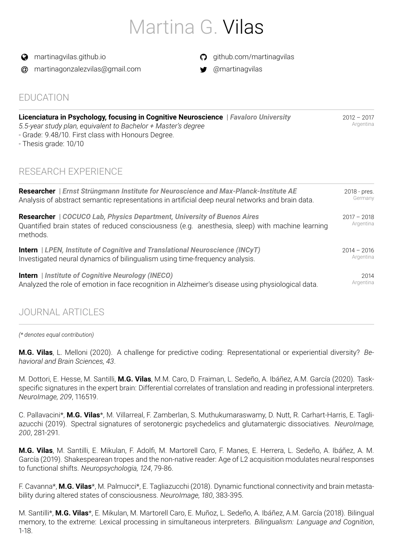# Martina G. Vilas

**a** [martinagvilas.github.io](https://martinagvilas.github.io/)

@ [martinagonzalezvilas@gmail.com](mailto:martinagonzalezvilas@gmail.com)

- $\Omega$  [github.com/martinagvilas](https://github.com/martinagvilas)
- $\bullet$  [@martinagvilas](https://twitter.com/@martinagvilas)

### EDUCATION

| Licenciatura in Psychology, focusing in Cognitive Neuroscience   Favaloro University<br>5.5-year study plan, equivalent to Bachelor + Master's degree<br>- Grade: 9.48/10. First class with Honours Degree.<br>- Thesis grade: 10/10 | $2012 - 2017$<br>Argentina |
|--------------------------------------------------------------------------------------------------------------------------------------------------------------------------------------------------------------------------------------|----------------------------|
| RESEARCH EXPERIENCE                                                                                                                                                                                                                  |                            |

| <b>Researcher</b>   Ernst Strüngmann Institute for Neuroscience and Max-Planck-Institute AE                                                                                            | 2018 - pres.               |
|----------------------------------------------------------------------------------------------------------------------------------------------------------------------------------------|----------------------------|
| Analysis of abstract semantic representations in artificial deep neural networks and brain data.                                                                                       | Germany                    |
| Researcher   COCUCO Lab, Physics Department, University of Buenos Aires<br>Quantified brain states of reduced consciousness (e.g. anesthesia, sleep) with machine learning<br>methods. | $2017 - 2018$<br>Argentina |
| <b>Intern</b>   LPEN, Institute of Cognitive and Translational Neuroscience (INCyT)                                                                                                    | $2014 - 2016$              |
| Investigated neural dynamics of bilingualism using time-frequency analysis.                                                                                                            | Argentina                  |
| <b>Intern</b>   Institute of Cognitive Neurology (INECO)                                                                                                                               | 2014                       |
| Analyzed the role of emotion in face recognition in Alzheimer's disease using physiological data.                                                                                      | Argentina                  |

### JOURNAL ARTICLES

*(\* denotes equal contribution)*

**M.G. Vilas**, L. Melloni (2020). A challenge for predictive coding: Representational or experiential diversity? *Behavioral and Brain Sciences, 43*.

M. Dottori, E. Hesse, M. Santilli, **M.G. Vilas**, M.M. Caro, D. Fraiman, L. Sedeño, A. Ibáñez, A.M. García (2020). Taskspecific signatures in the expert brain: Differential correlates of translation and reading in professional interpreters. *NeuroImage, 209*, 116519.

C. Pallavacini\*, **M.G. Vilas**\*, M. Villarreal, F. Zamberlan, S. Muthukumaraswamy, D. Nutt, R. Carhart-Harris, E. Tagliazucchi (2019). Spectral signatures of serotonergic psychedelics and glutamatergic dissociatives. *NeuroImage, 200*, 281-291.

**M.G. Vilas**, M. Santilli, E. Mikulan, F. Adolfi, M. Martorell Caro, F. Manes, E. Herrera, L. Sedeño, A. Ibáñez, A. M. García (2019). Shakespearean tropes and the non-native reader: Age of L2 acquisition modulates neural responses to functional shifts. *Neuropsychologia, 124*, 79-86.

F. Cavanna\*, **M.G. Vilas**\*, M. Palmucci\*, E. Tagliazucchi (2018). Dynamic functional connectivity and brain metastability during altered states of consciousness. *NeuroImage, 180*, 383-395.

M. Santilli\*, **M.G. Vilas**\*, E. Mikulan, M. Martorell Caro, E. Muñoz, L. Sedeño, A. Ibáñez, A.M. García (2018). Bilingual memory, to the extreme: Lexical processing in simultaneous interpreters. *Bilingualism: Language and Cognition*, 1-18.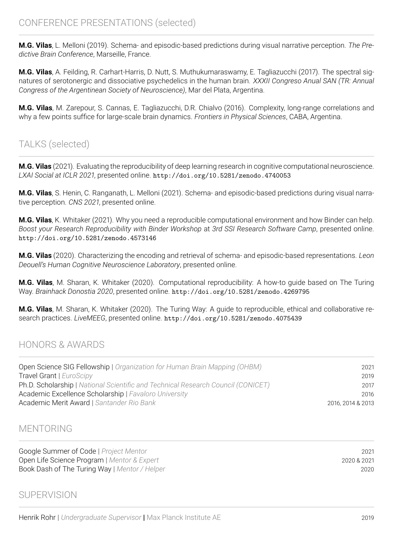**M.G. Vilas**, L. Melloni (2019). Schema- and episodic-based predictions during visual narrative perception. *The Predictive Brain Conference*, Marseille, France.

**M.G. Vilas**, A. Feilding, R. Carhart-Harris, D. Nutt, S. Muthukumaraswamy, E. Tagliazucchi (2017). The spectral signatures of serotonergic and dissociative psychedelics in the human brain. *XXXII Congreso Anual SAN (TR: Annual Congress of the Argentinean Society of Neuroscience)*, Mar del Plata, Argentina.

**M.G. Vilas**, M. Zarepour, S. Cannas, E. Tagliazucchi, D.R. Chialvo (2016). Complexity, long-range correlations and why a few points suffice for large-scale brain dynamics. *Frontiers in Physical Sciences*, CABA, Argentina.

### TALKS (selected)

**M.G. Vilas** (2021). Evaluating the reproducibility of deep learning research in cognitive computational neuroscience. *LXAI Social at ICLR 2021*, presented online. <http://doi.org/10.5281/zenodo.4740053>

**M.G. Vilas**, S. Henin, C. Ranganath, L. Melloni (2021). Schema- and episodic-based predictions during visual narrative perception. *CNS 2021*, presented online.

**M.G. Vilas**, K. Whitaker (2021). Why you need a reproducible computational environment and how Binder can help. *Boost your Research Reproducibility with Binder Workshop* at *3rd SSI Research Software Camp*, presented online. <http://doi.org/10.5281/zenodo.4573146>

**M.G. Vilas** (2020). Characterizing the encoding and retrieval of schema- and episodic-based representations. *Leon Deouell's Human Cognitive Neuroscience Laboratory*, presented online.

**M.G. Vilas**, M. Sharan, K. Whitaker (2020). Computational reproducibility: A how-to guide based on The Turing Way. *Brainhack Donostia 2020*, presented online. <http://doi.org/10.5281/zenodo.4269795>

**M.G. Vilas**, M. Sharan, K. Whitaker (2020). The Turing Way: A guide to reproducible, ethical and collaborative research practices. *LiveMEEG*, presented online. <http://doi.org/10.5281/zenodo.4075439>

### HONORS & AWARDS

| Open Science SIG Fellowship   Organization for Human Brain Mapping (OHBM)        | 2021              |
|----------------------------------------------------------------------------------|-------------------|
| Travel Grant   EuroScipy                                                         | 2019              |
| Ph.D. Scholarship   National Scientific and Technical Research Council (CONICET) | 2017              |
| Academic Excellence Scholarship   Favaloro University                            | 2016              |
| Academic Merit Award   Santander Rio Bank                                        | 2016, 2014 & 2013 |

### MENTORING

Google Summer of Code **|** *Project Mentor* 2021 Open Life Science Program **|** *Mentor & Expert* 2020 & 2021 Book Dash of The Turing Way **|** *Mentor / Helper* 2020

### **SUPERVISION**

Henrik Rohr **|** *Undergraduate Supervisor* **|** Max Planck Institute AE 2019